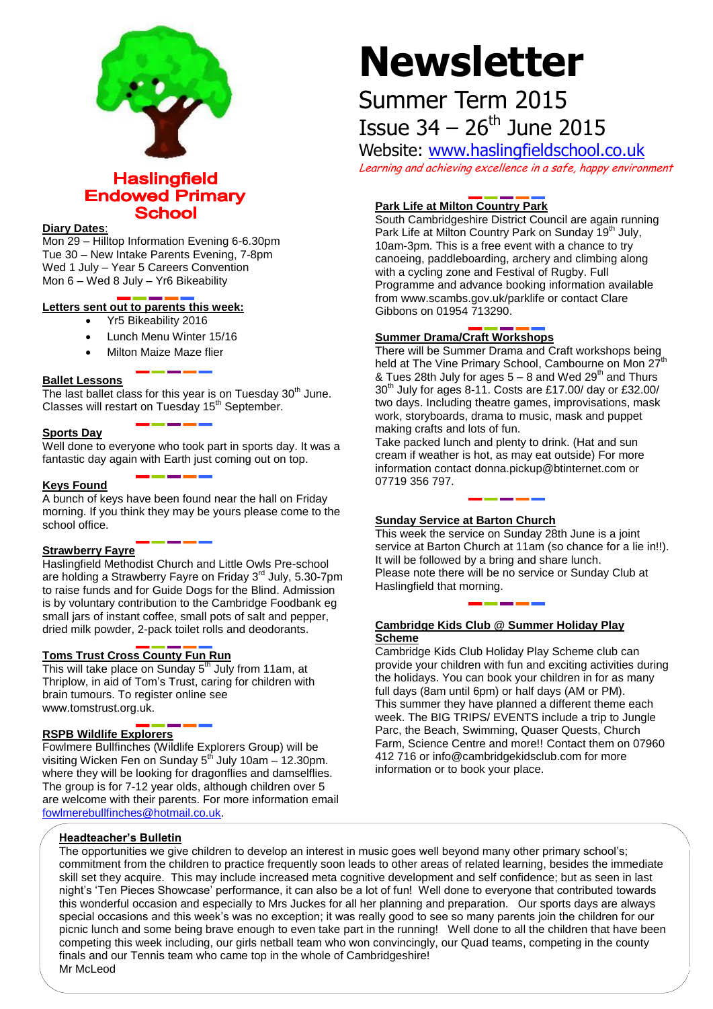

**Haslingfield Endowed Primary School** 

### **Diary Dates**:

Mon 29 – Hilltop Information Evening 6-6.30pm Tue 30 – New Intake Parents Evening, 7-8pm Wed 1 July – Year 5 Careers Convention Mon 6 – Wed 8 July – Yr6 Bikeability

# **Letters sent out to parents this week:**

- Yr5 Bikeability 2016
- Lunch Menu Winter 15/16
- Milton Maize Maze flier

# **Ballet Lessons**

The last ballet class for this year is on Tuesday  $30<sup>th</sup>$  June. Classes will restart on Tuesday 15<sup>th</sup> September.

#### **Sports Day**

Well done to everyone who took part in sports day. It was a fantastic day again with Earth just coming out on top.

# **Keys Found**

A bunch of keys have been found near the hall on Friday morning. If you think they may be yours please come to the school office.

# **Strawberry Fayre**

Haslingfield Methodist Church and Little Owls Pre-school are holding a Strawberry Fayre on Friday 3<sup>rd</sup> July, 5.30-7pm to raise funds and for Guide Dogs for the Blind. Admission is by voluntary contribution to the Cambridge Foodbank eg small jars of instant coffee, small pots of salt and pepper, dried milk powder, 2-pack toilet rolls and deodorants.

# **Toms Trust Cross County Fun Run**

This will take place on Sunday  $5<sup>th</sup>$  July from 11am, at Thriplow, in aid of Tom's Trust, caring for children with brain tumours. To register online see www.tomstrust.org.uk.

# **RSPB Wildlife Explorers**

Fowlmere Bullfinches (Wildlife Explorers Group) will be visiting Wicken Fen on Sunday  $5<sup>th</sup>$  July 10am – 12.30pm. where they will be looking for dragonflies and damselflies. The group is for 7-12 year olds, although children over 5 are welcome with their parents. For more information email [fowlmerebullfinches@hotmail.co.uk.](mailto:fowlmerebullfinches@hotmail.co.uk)

# **Newsletter**

# Summer Term 2015 **Issue 34 – 26<sup>th</sup> June 2015**

Website: [www.haslingfieldschool.co.uk](http://www.haslingfieldschool.co.uk/) Learning and achieving excellence in a safe, happy environment

# **Park Life at Milton Country Park**

South Cambridgeshire District Council are again running Park Life at Milton Country Park on Sunday 19<sup>th</sup> July, 10am-3pm. This is a free event with a chance to try canoeing, paddleboarding, archery and climbing along with a cycling zone and Festival of Rugby. Full Programme and advance booking information available from www.scambs.gov.uk/parklife or contact Clare Gibbons on 01954 713290.

# **Summer Drama/Craft Workshops**

**Summer Drama Summer Drama and Craft workshops being**<br>There will be Summer Drama and Craft workshops being held at The Vine Primary School, Cambourne on Mon 27 & Tues 28th July for ages  $5 - 8$  and Wed 29<sup>th</sup> and Thurs  $30<sup>th</sup>$  July for ages 8-11. Costs are £17.00/ day or £32.00/ two days. Including theatre games, improvisations, mask work, storyboards, drama to music, mask and puppet making crafts and lots of fun.

Take packed lunch and plenty to drink. (Hat and sun cream if weather is hot, as may eat outside) For more information contact donna.pickup@btinternet.com or 07719 356 797.

# **Sunday Service at Barton Church**

This week the service on Sunday 28th June is a joint service at Barton Church at 11am (so chance for a lie in!!). It will be followed by a bring and share lunch. Please note there will be no service or Sunday Club at Haslingfield that morning.

# **Cambridge Kids Club @ Summer Holiday Play Scheme**

Cambridge Kids Club Holiday Play Scheme club can provide your children with fun and exciting activities during the holidays. You can book your children in for as many full days (8am until 6pm) or half days (AM or PM). This summer they have planned a different theme each week. The BIG TRIPS/ EVENTS include a trip to Jungle Parc, the Beach, Swimming, Quaser Quests, Church Farm, Science Centre and more!! Contact them on 07960 412 716 or info@cambridgekidsclub.com for more information or to book your place.

# **Headteacher's Bulletin**

The opportunities we give children to develop an interest in music goes well beyond many other primary school's; commitment from the children to practice frequently soon leads to other areas of related learning, besides the immediate skill set they acquire. This may include increased meta cognitive development and self confidence; but as seen in last night's 'Ten Pieces Showcase' performance, it can also be a lot of fun! Well done to everyone that contributed towards this wonderful occasion and especially to Mrs Juckes for all her planning and preparation. Our sports days are always special occasions and this week's was no exception; it was really good to see so many parents join the children for our picnic lunch and some being brave enough to even take part in the running! Well done to all the children that have been competing this week including, our girls netball team who won convincingly, our Quad teams, competing in the county finals and our Tennis team who came top in the whole of Cambridgeshire! Mr McLeod